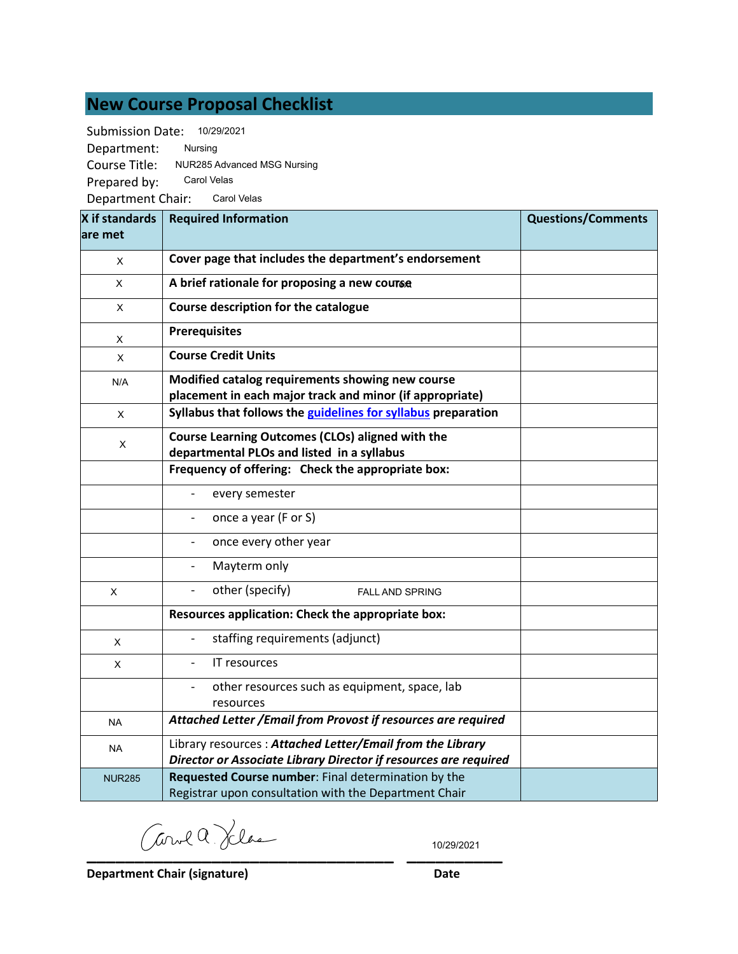# **New Course Proposal Checklist**

Submission Date: 10/29/2021

Department: Course Title: NUR285 Advanced MSG Nursing Prepared by: Department Chair: Carol Velas Nursing Carol Velas

| X if standards | <b>Required Information</b>                                                                                                   | <b>Questions/Comments</b> |
|----------------|-------------------------------------------------------------------------------------------------------------------------------|---------------------------|
| lare met       |                                                                                                                               |                           |
| X              | Cover page that includes the department's endorsement                                                                         |                           |
| X              | A brief rationale for proposing a new course                                                                                  |                           |
| X              | Course description for the catalogue                                                                                          |                           |
| X              | <b>Prerequisites</b>                                                                                                          |                           |
| X              | <b>Course Credit Units</b>                                                                                                    |                           |
| N/A            | Modified catalog requirements showing new course<br>placement in each major track and minor (if appropriate)                  |                           |
| X              | Syllabus that follows the guidelines for syllabus preparation                                                                 |                           |
| X              | Course Learning Outcomes (CLOs) aligned with the<br>departmental PLOs and listed in a syllabus                                |                           |
|                | Frequency of offering: Check the appropriate box:                                                                             |                           |
|                | every semester                                                                                                                |                           |
|                | once a year (F or S)                                                                                                          |                           |
|                | once every other year                                                                                                         |                           |
|                | Mayterm only                                                                                                                  |                           |
| X              | other (specify)<br>$\overline{\phantom{a}}$<br><b>FALL AND SPRING</b>                                                         |                           |
|                | Resources application: Check the appropriate box:                                                                             |                           |
| X              | staffing requirements (adjunct)                                                                                               |                           |
| X              | IT resources                                                                                                                  |                           |
|                | other resources such as equipment, space, lab<br>resources                                                                    |                           |
| <b>NA</b>      | Attached Letter / Email from Provost if resources are required                                                                |                           |
| <b>NA</b>      | Library resources: Attached Letter/Email from the Library<br>Director or Associate Library Director if resources are required |                           |
| <b>NUR285</b>  | Requested Course number: Final determination by the<br>Registrar upon consultation with the Department Chair                  |                           |

**\_\_\_\_\_\_\_\_\_\_\_\_\_\_\_\_\_\_\_\_\_\_\_\_\_\_\_\_\_\_\_\_ \_\_\_\_\_\_\_\_\_\_**

10/29/2021

**Department Chair (signature) Date**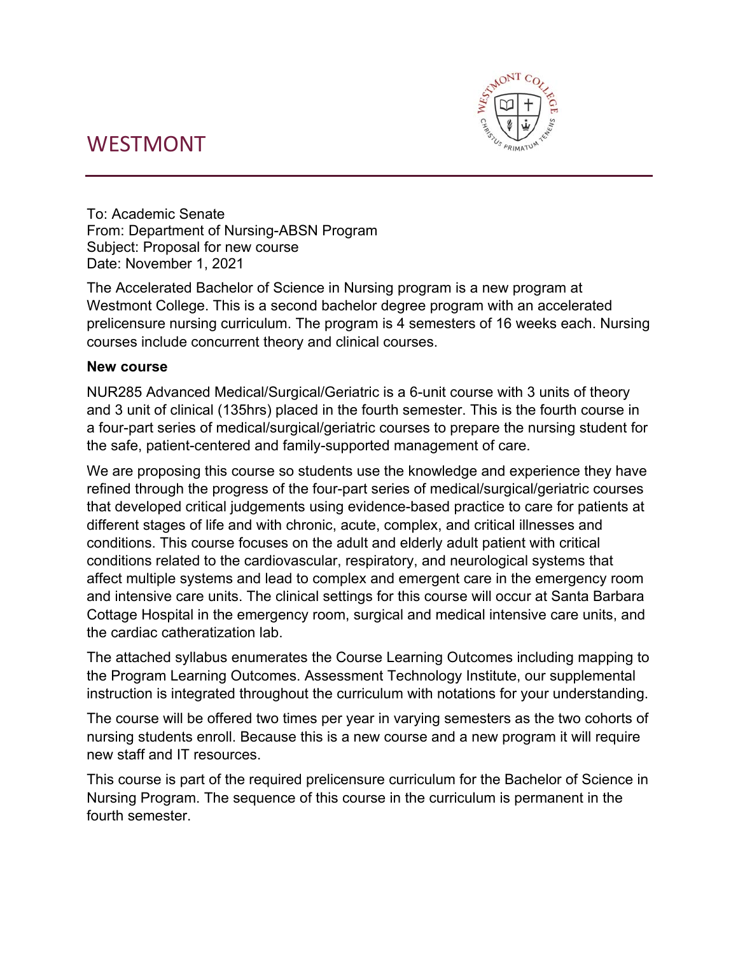# WESTMONT



To: Academic Senate From: Department of Nursing-ABSN Program Subject: Proposal for new course Date: November 1, 2021

The Accelerated Bachelor of Science in Nursing program is a new program at Westmont College. This is a second bachelor degree program with an accelerated prelicensure nursing curriculum. The program is 4 semesters of 16 weeks each. Nursing courses include concurrent theory and clinical courses.

# **New course**

NUR285 Advanced Medical/Surgical/Geriatric is a 6-unit course with 3 units of theory and 3 unit of clinical (135hrs) placed in the fourth semester. This is the fourth course in a four-part series of medical/surgical/geriatric courses to prepare the nursing student for the safe, patient-centered and family-supported management of care.

We are proposing this course so students use the knowledge and experience they have refined through the progress of the four-part series of medical/surgical/geriatric courses that developed critical judgements using evidence-based practice to care for patients at different stages of life and with chronic, acute, complex, and critical illnesses and conditions. This course focuses on the adult and elderly adult patient with critical conditions related to the cardiovascular, respiratory, and neurological systems that affect multiple systems and lead to complex and emergent care in the emergency room and intensive care units. The clinical settings for this course will occur at Santa Barbara Cottage Hospital in the emergency room, surgical and medical intensive care units, and the cardiac catheratization lab.

The attached syllabus enumerates the Course Learning Outcomes including mapping to the Program Learning Outcomes. Assessment Technology Institute, our supplemental instruction is integrated throughout the curriculum with notations for your understanding.

The course will be offered two times per year in varying semesters as the two cohorts of nursing students enroll. Because this is a new course and a new program it will require new staff and IT resources.

This course is part of the required prelicensure curriculum for the Bachelor of Science in Nursing Program. The sequence of this course in the curriculum is permanent in the fourth semester.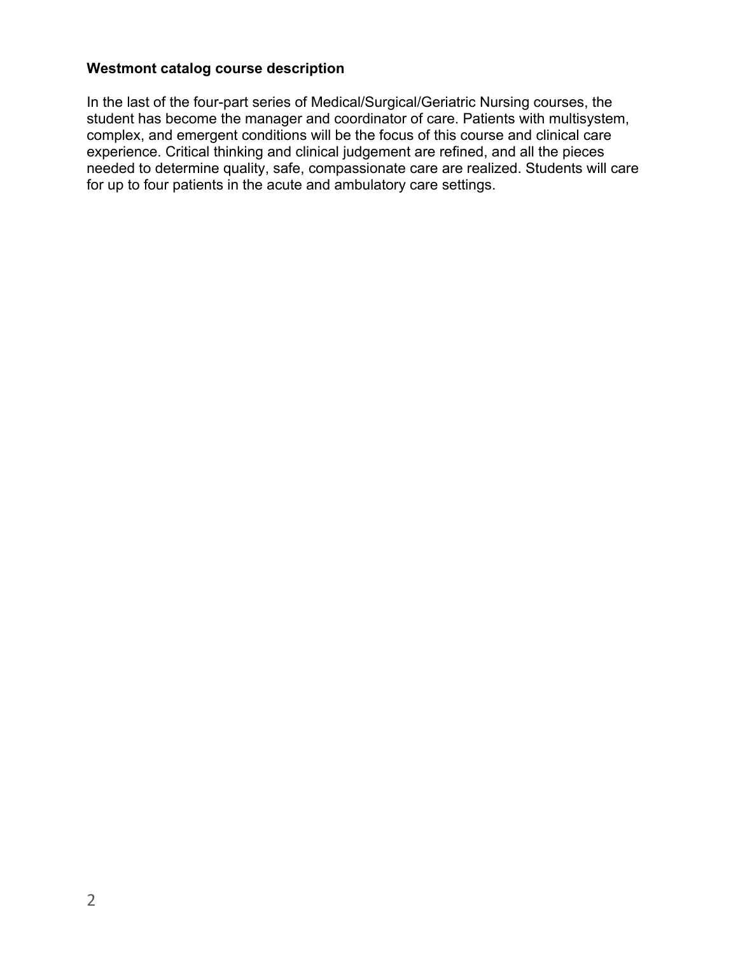# **Westmont catalog course description**

In the last of the four-part series of Medical/Surgical/Geriatric Nursing courses, the student has become the manager and coordinator of care. Patients with multisystem, complex, and emergent conditions will be the focus of this course and clinical care experience. Critical thinking and clinical judgement are refined, and all the pieces needed to determine quality, safe, compassionate care are realized. Students will care for up to four patients in the acute and ambulatory care settings.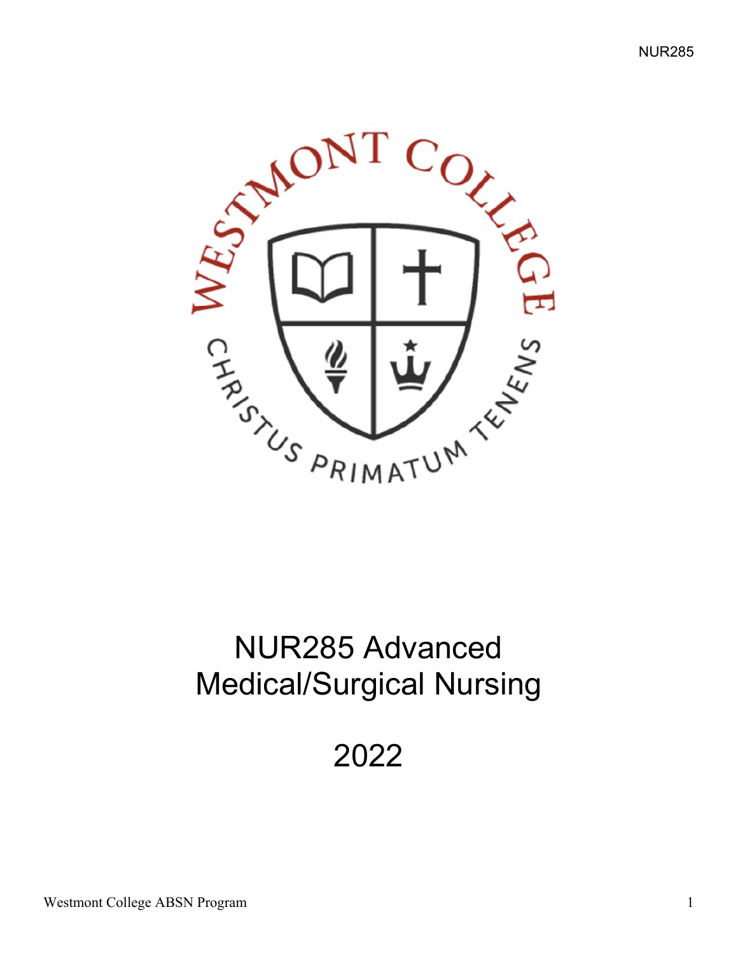

# NUR285 Advanced Medical/Surgical Nursing

2022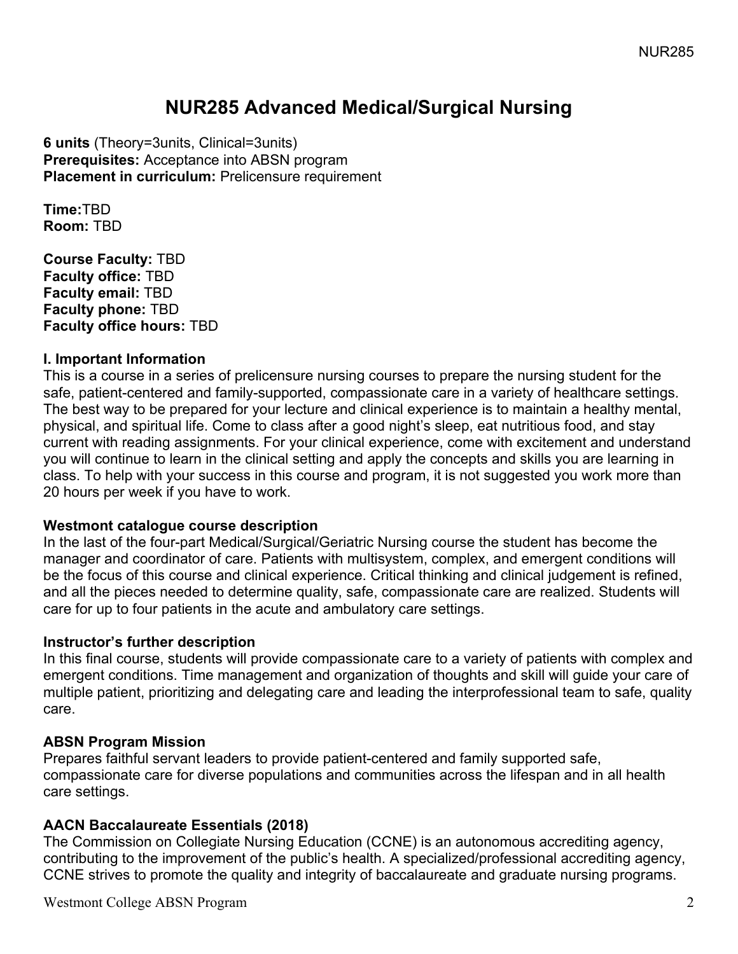# **NUR285 Advanced Medical/Surgical Nursing**

**6 units** (Theory=3units, Clinical=3units) **Prerequisites:** Acceptance into ABSN program **Placement in curriculum: Prelicensure requirement** 

**Time:**TBD **Room:** TBD

**Course Faculty:** TBD **Faculty office:** TBD **Faculty email:** TBD **Faculty phone:** TBD **Faculty office hours:** TBD

#### **I. Important Information**

This is a course in a series of prelicensure nursing courses to prepare the nursing student for the safe, patient-centered and family-supported, compassionate care in a variety of healthcare settings. The best way to be prepared for your lecture and clinical experience is to maintain a healthy mental, physical, and spiritual life. Come to class after a good night's sleep, eat nutritious food, and stay current with reading assignments. For your clinical experience, come with excitement and understand you will continue to learn in the clinical setting and apply the concepts and skills you are learning in class. To help with your success in this course and program, it is not suggested you work more than 20 hours per week if you have to work.

#### **Westmont catalogue course description**

In the last of the four-part Medical/Surgical/Geriatric Nursing course the student has become the manager and coordinator of care. Patients with multisystem, complex, and emergent conditions will be the focus of this course and clinical experience. Critical thinking and clinical judgement is refined, and all the pieces needed to determine quality, safe, compassionate care are realized. Students will care for up to four patients in the acute and ambulatory care settings.

#### **Instructor's further description**

In this final course, students will provide compassionate care to a variety of patients with complex and emergent conditions. Time management and organization of thoughts and skill will guide your care of multiple patient, prioritizing and delegating care and leading the interprofessional team to safe, quality care.

# **ABSN Program Mission**

Prepares faithful servant leaders to provide patient-centered and family supported safe, compassionate care for diverse populations and communities across the lifespan and in all health care settings.

#### **AACN Baccalaureate Essentials (2018)**

The Commission on Collegiate Nursing Education (CCNE) is an autonomous accrediting agency, contributing to the improvement of the public's health. A specialized/professional accrediting agency, CCNE strives to promote the quality and integrity of baccalaureate and graduate nursing programs.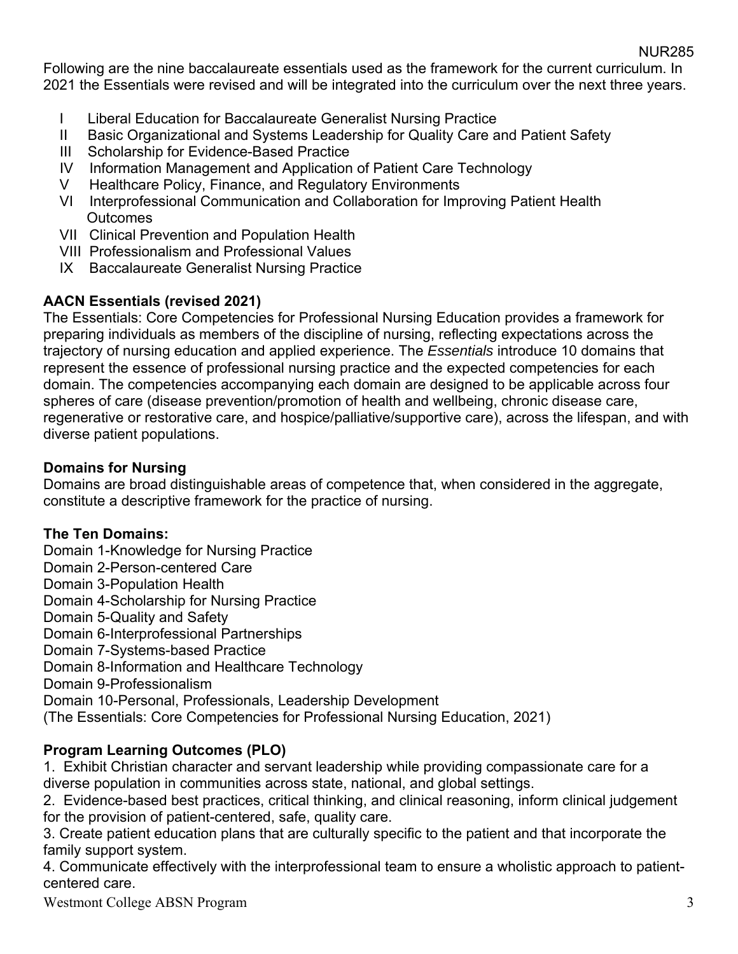Following are the nine baccalaureate essentials used as the framework for the current curriculum. In 2021 the Essentials were revised and will be integrated into the curriculum over the next three years.

- I Liberal Education for Baccalaureate Generalist Nursing Practice
- II Basic Organizational and Systems Leadership for Quality Care and Patient Safety
- III Scholarship for Evidence-Based Practice
- IV Information Management and Application of Patient Care Technology
- V Healthcare Policy, Finance, and Regulatory Environments
- VI Interprofessional Communication and Collaboration for Improving Patient Health **Outcomes**
- VII Clinical Prevention and Population Health
- VIII Professionalism and Professional Values
- IX Baccalaureate Generalist Nursing Practice

# **AACN Essentials (revised 2021)**

The Essentials: Core Competencies for Professional Nursing Education provides a framework for preparing individuals as members of the discipline of nursing, reflecting expectations across the trajectory of nursing education and applied experience. The *Essentials* introduce 10 domains that represent the essence of professional nursing practice and the expected competencies for each domain. The competencies accompanying each domain are designed to be applicable across four spheres of care (disease prevention/promotion of health and wellbeing, chronic disease care, regenerative or restorative care, and hospice/palliative/supportive care), across the lifespan, and with diverse patient populations.

# **Domains for Nursing**

Domains are broad distinguishable areas of competence that, when considered in the aggregate, constitute a descriptive framework for the practice of nursing.

# **The Ten Domains:**

Domain 1-Knowledge for Nursing Practice Domain 2-Person-centered Care Domain 3-Population Health Domain 4-Scholarship for Nursing Practice Domain 5-Quality and Safety Domain 6-Interprofessional Partnerships Domain 7-Systems-based Practice Domain 8-Information and Healthcare Technology Domain 9-Professionalism Domain 10-Personal, Professionals, Leadership Development (The Essentials: Core Competencies for Professional Nursing Education, 2021)

# **Program Learning Outcomes (PLO)**

1. Exhibit Christian character and servant leadership while providing compassionate care for a diverse population in communities across state, national, and global settings.

2. Evidence-based best practices, critical thinking, and clinical reasoning, inform clinical judgement for the provision of patient-centered, safe, quality care.

3. Create patient education plans that are culturally specific to the patient and that incorporate the family support system.

4. Communicate effectively with the interprofessional team to ensure a wholistic approach to patientcentered care.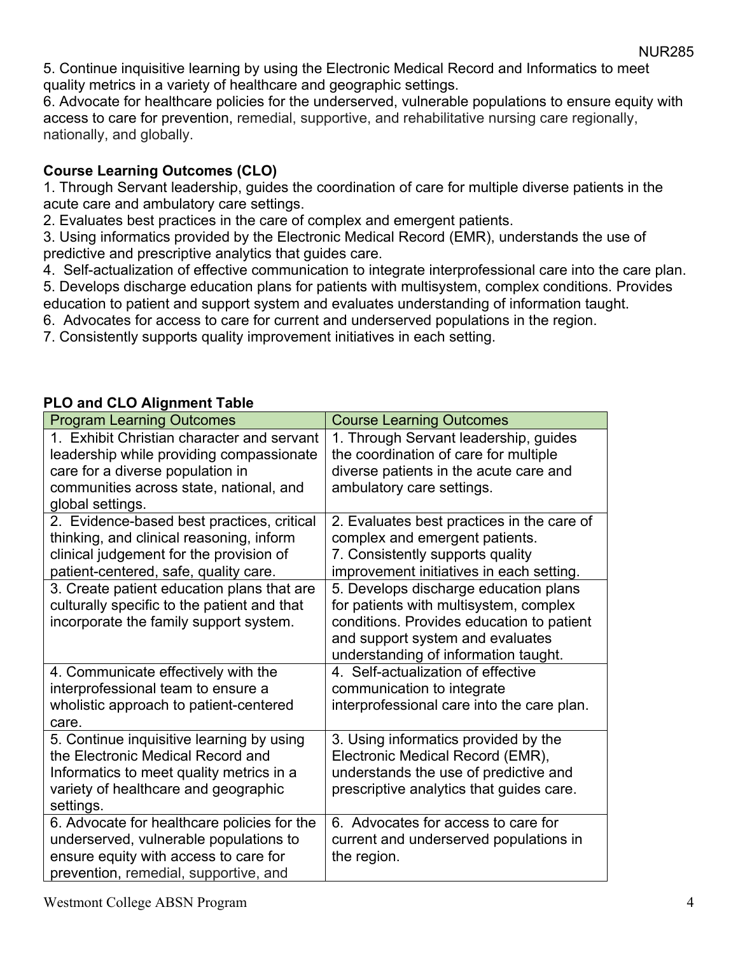5. Continue inquisitive learning by using the Electronic Medical Record and Informatics to meet quality metrics in a variety of healthcare and geographic settings.

6. Advocate for healthcare policies for the underserved, vulnerable populations to ensure equity with access to care for prevention, remedial, supportive, and rehabilitative nursing care regionally, nationally, and globally.

# **Course Learning Outcomes (CLO)**

1. Through Servant leadership, guides the coordination of care for multiple diverse patients in the acute care and ambulatory care settings.

2. Evaluates best practices in the care of complex and emergent patients.

3. Using informatics provided by the Electronic Medical Record (EMR), understands the use of predictive and prescriptive analytics that guides care.

4. Self-actualization of effective communication to integrate interprofessional care into the care plan. 5. Develops discharge education plans for patients with multisystem, complex conditions. Provides

education to patient and support system and evaluates understanding of information taught.

6. Advocates for access to care for current and underserved populations in the region.

7. Consistently supports quality improvement initiatives in each setting.

| <b>Program Learning Outcomes</b>            | <b>Course Learning Outcomes</b>            |
|---------------------------------------------|--------------------------------------------|
| 1. Exhibit Christian character and servant  | 1. Through Servant leadership, guides      |
| leadership while providing compassionate    | the coordination of care for multiple      |
| care for a diverse population in            | diverse patients in the acute care and     |
| communities across state, national, and     | ambulatory care settings.                  |
| global settings.                            |                                            |
| 2. Evidence-based best practices, critical  | 2. Evaluates best practices in the care of |
| thinking, and clinical reasoning, inform    | complex and emergent patients.             |
| clinical judgement for the provision of     | 7. Consistently supports quality           |
| patient-centered, safe, quality care.       | improvement initiatives in each setting.   |
| 3. Create patient education plans that are  | 5. Develops discharge education plans      |
| culturally specific to the patient and that | for patients with multisystem, complex     |
| incorporate the family support system.      | conditions. Provides education to patient  |
|                                             | and support system and evaluates           |
|                                             | understanding of information taught.       |
| 4. Communicate effectively with the         | 4. Self-actualization of effective         |
| interprofessional team to ensure a          | communication to integrate                 |
| wholistic approach to patient-centered      | interprofessional care into the care plan. |
| care.                                       |                                            |
| 5. Continue inquisitive learning by using   | 3. Using informatics provided by the       |
| the Electronic Medical Record and           | Electronic Medical Record (EMR),           |
| Informatics to meet quality metrics in a    | understands the use of predictive and      |
| variety of healthcare and geographic        | prescriptive analytics that guides care.   |
| settings.                                   |                                            |
| 6. Advocate for healthcare policies for the | 6. Advocates for access to care for        |
| underserved, vulnerable populations to      | current and underserved populations in     |
| ensure equity with access to care for       | the region.                                |
| prevention, remedial, supportive, and       |                                            |

# **PLO and CLO Alignment Table**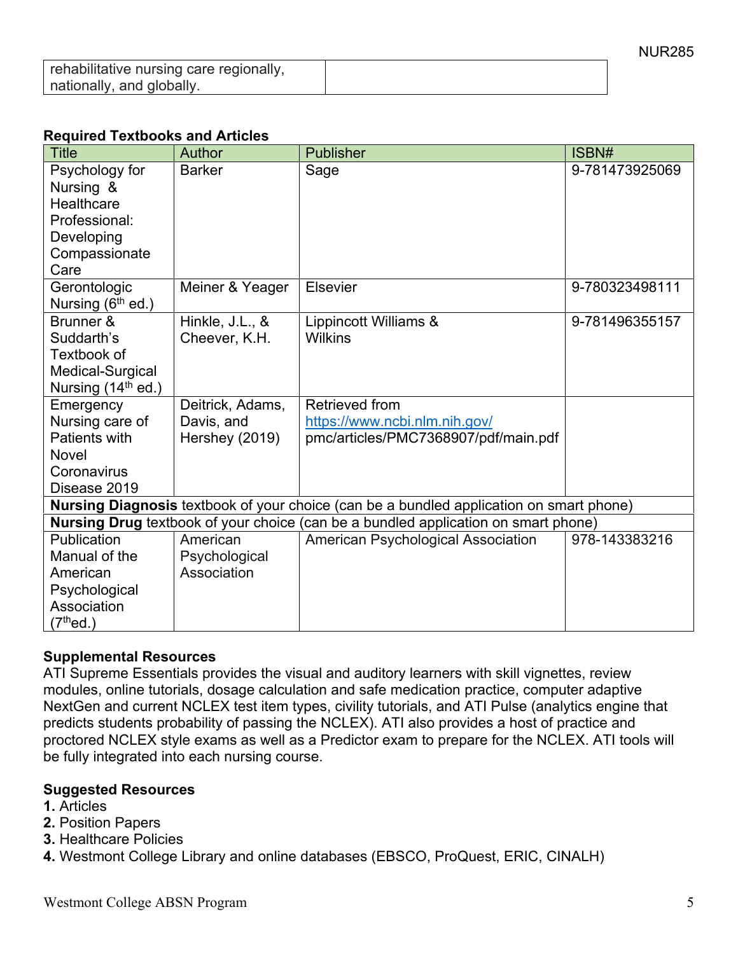| rehabilitative nursing care regionally, |  |
|-----------------------------------------|--|
| nationally, and globally.               |  |

#### **Required Textbooks and Articles**

| <b>Title</b>          | Author           | <b>Publisher</b>                                                                        | ISBN#          |
|-----------------------|------------------|-----------------------------------------------------------------------------------------|----------------|
| Psychology for        | <b>Barker</b>    | Sage                                                                                    | 9-781473925069 |
| Nursing &             |                  |                                                                                         |                |
| Healthcare            |                  |                                                                                         |                |
| Professional:         |                  |                                                                                         |                |
| Developing            |                  |                                                                                         |                |
| Compassionate         |                  |                                                                                         |                |
| Care                  |                  |                                                                                         |                |
| Gerontologic          | Meiner & Yeager  | Elsevier                                                                                | 9-780323498111 |
| Nursing $(6th$ ed.)   |                  |                                                                                         |                |
| Brunner &             | Hinkle, J.L., &  | Lippincott Williams &                                                                   | 9-781496355157 |
| Suddarth's            | Cheever, K.H.    | <b>Wilkins</b>                                                                          |                |
| Textbook of           |                  |                                                                                         |                |
| Medical-Surgical      |                  |                                                                                         |                |
| Nursing $(14th$ ed.)  |                  |                                                                                         |                |
| Emergency             | Deitrick, Adams, | Retrieved from                                                                          |                |
| Nursing care of       | Davis, and       | https://www.ncbi.nlm.nih.gov/                                                           |                |
| Patients with         | Hershey (2019)   | pmc/articles/PMC7368907/pdf/main.pdf                                                    |                |
| Novel                 |                  |                                                                                         |                |
| Coronavirus           |                  |                                                                                         |                |
| Disease 2019          |                  |                                                                                         |                |
|                       |                  | Nursing Diagnosis textbook of your choice (can be a bundled application on smart phone) |                |
|                       |                  | Nursing Drug textbook of your choice (can be a bundled application on smart phone)      |                |
| Publication           | American         | American Psychological Association                                                      | 978-143383216  |
| Manual of the         | Psychological    |                                                                                         |                |
| American              | Association      |                                                                                         |                |
| Psychological         |                  |                                                                                         |                |
| Association           |                  |                                                                                         |                |
| (7 <sup>th</sup> ed.) |                  |                                                                                         |                |

#### **Supplemental Resources**

ATI Supreme Essentials provides the visual and auditory learners with skill vignettes, review modules, online tutorials, dosage calculation and safe medication practice, computer adaptive NextGen and current NCLEX test item types, civility tutorials, and ATI Pulse (analytics engine that predicts students probability of passing the NCLEX). ATI also provides a host of practice and proctored NCLEX style exams as well as a Predictor exam to prepare for the NCLEX. ATI tools will be fully integrated into each nursing course.

#### **Suggested Resources**

- **1.** Articles
- **2.** Position Papers
- **3.** Healthcare Policies
- **4.** Westmont College Library and online databases (EBSCO, ProQuest, ERIC, CINALH)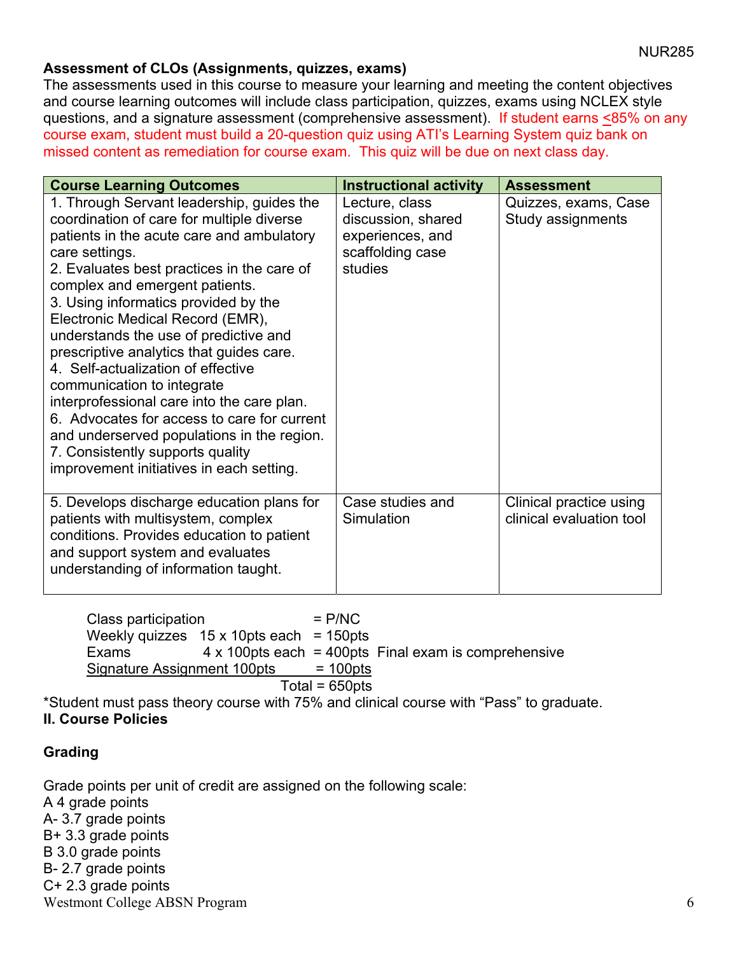# **Assessment of CLOs (Assignments, quizzes, exams)**

The assessments used in this course to measure your learning and meeting the content objectives and course learning outcomes will include class participation, quizzes, exams using NCLEX style questions, and a signature assessment (comprehensive assessment). If student earns <85% on any course exam, student must build a 20-question quiz using ATI's Learning System quiz bank on missed content as remediation for course exam. This quiz will be due on next class day.

| <b>Course Learning Outcomes</b>                                                                                                                                                                                                                                                                                                                                                                                                                                                                                                                                                                                                                                                                       | <b>Instructional activity</b>                                                           | <b>Assessment</b>                                   |
|-------------------------------------------------------------------------------------------------------------------------------------------------------------------------------------------------------------------------------------------------------------------------------------------------------------------------------------------------------------------------------------------------------------------------------------------------------------------------------------------------------------------------------------------------------------------------------------------------------------------------------------------------------------------------------------------------------|-----------------------------------------------------------------------------------------|-----------------------------------------------------|
| 1. Through Servant leadership, guides the<br>coordination of care for multiple diverse<br>patients in the acute care and ambulatory<br>care settings.<br>2. Evaluates best practices in the care of<br>complex and emergent patients.<br>3. Using informatics provided by the<br>Electronic Medical Record (EMR),<br>understands the use of predictive and<br>prescriptive analytics that guides care.<br>4. Self-actualization of effective<br>communication to integrate<br>interprofessional care into the care plan.<br>6. Advocates for access to care for current<br>and underserved populations in the region.<br>7. Consistently supports quality<br>improvement initiatives in each setting. | Lecture, class<br>discussion, shared<br>experiences, and<br>scaffolding case<br>studies | Quizzes, exams, Case<br>Study assignments           |
| 5. Develops discharge education plans for<br>patients with multisystem, complex<br>conditions. Provides education to patient<br>and support system and evaluates<br>understanding of information taught.                                                                                                                                                                                                                                                                                                                                                                                                                                                                                              | Case studies and<br>Simulation                                                          | Clinical practice using<br>clinical evaluation tool |

 $Class$  participation  $= P/NC$ Weekly quizzes  $15 \times 10$ pts each = 150pts Exams 4 x 100pts each = 400pts Final exam is comprehensive Signature Assignment 100pts = 100pts

 $Total = 650pts$ 

\*Student must pass theory course with 75% and clinical course with "Pass" to graduate. **II. Course Policies** 

# **Grading**

Westmont College ABSN Program 6 Grade points per unit of credit are assigned on the following scale: A 4 grade points A- 3.7 grade points B+ 3.3 grade points B 3.0 grade points B- 2.7 grade points C+ 2.3 grade points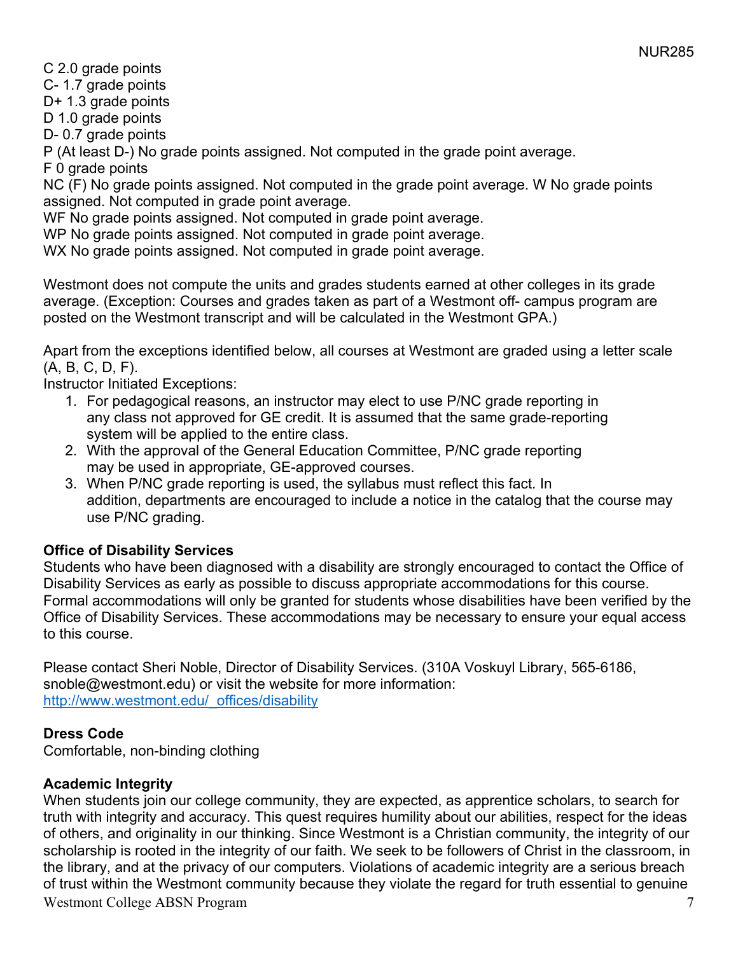C 2.0 grade points

C- 1.7 grade points

D+ 1.3 grade points

D 1.0 grade points

D- 0.7 grade points

P (At least D-) No grade points assigned. Not computed in the grade point average.

F 0 grade points

NC (F) No grade points assigned. Not computed in the grade point average. W No grade points assigned. Not computed in grade point average.

WF No grade points assigned. Not computed in grade point average.

WP No grade points assigned. Not computed in grade point average.

WX No grade points assigned. Not computed in grade point average.

Westmont does not compute the units and grades students earned at other colleges in its grade average. (Exception: Courses and grades taken as part of a Westmont off- campus program are posted on the Westmont transcript and will be calculated in the Westmont GPA.)

Apart from the exceptions identified below, all courses at Westmont are graded using a letter scale (A, B, C, D, F).

Instructor Initiated Exceptions:

- 1. For pedagogical reasons, an instructor may elect to use P/NC grade reporting in any class not approved for GE credit. It is assumed that the same grade-reporting system will be applied to the entire class.
- 2. With the approval of the General Education Committee, P/NC grade reporting may be used in appropriate, GE-approved courses.
- 3. When P/NC grade reporting is used, the syllabus must reflect this fact. In addition, departments are encouraged to include a notice in the catalog that the course may use P/NC grading.

# **Office of Disability Services**

Students who have been diagnosed with a disability are strongly encouraged to contact the Office of Disability Services as early as possible to discuss appropriate accommodations for this course. Formal accommodations will only be granted for students whose disabilities have been verified by the Office of Disability Services. These accommodations may be necessary to ensure your equal access to this course.

Please contact Sheri Noble, Director of Disability Services. (310A Voskuyl Library, 565-6186, snoble@westmont.edu) or visit the website for more information: http://www.westmont.edu/\_offices/disability

# **Dress Code**

Comfortable, non-binding clothing

# **Academic Integrity**

Westmont College ABSN Program 7 When students join our college community, they are expected, as apprentice scholars, to search for truth with integrity and accuracy. This quest requires humility about our abilities, respect for the ideas of others, and originality in our thinking. Since Westmont is a Christian community, the integrity of our scholarship is rooted in the integrity of our faith. We seek to be followers of Christ in the classroom, in the library, and at the privacy of our computers. Violations of academic integrity are a serious breach of trust within the Westmont community because they violate the regard for truth essential to genuine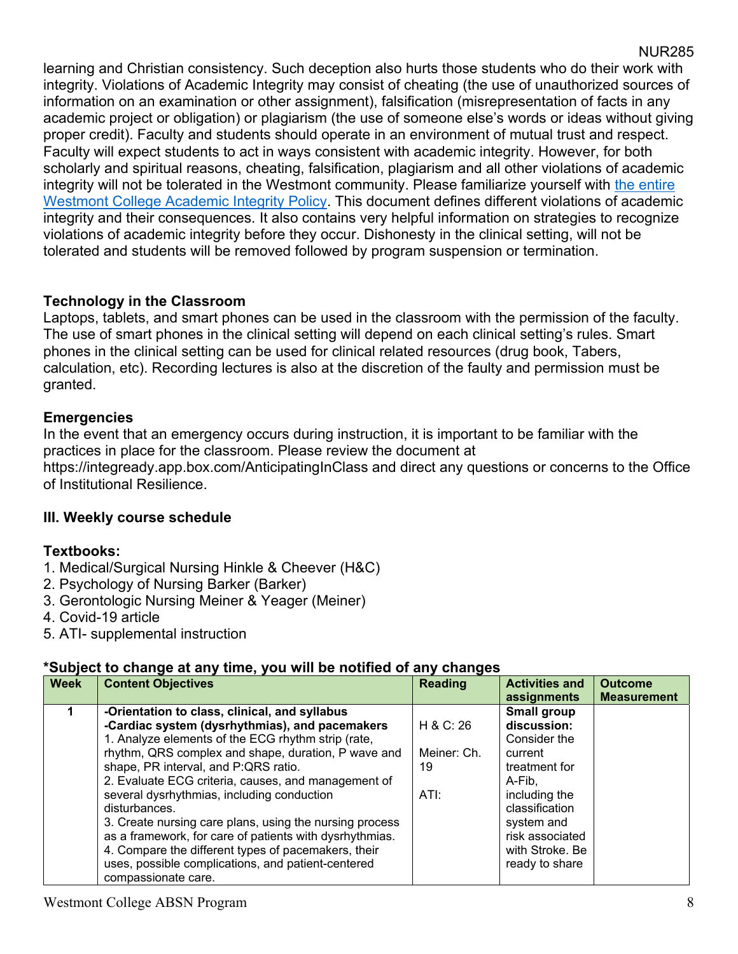learning and Christian consistency. Such deception also hurts those students who do their work with integrity. Violations of Academic Integrity may consist of cheating (the use of unauthorized sources of information on an examination or other assignment), falsification (misrepresentation of facts in any academic project or obligation) or plagiarism (the use of someone else's words or ideas without giving proper credit). Faculty and students should operate in an environment of mutual trust and respect. Faculty will expect students to act in ways consistent with academic integrity. However, for both scholarly and spiritual reasons, cheating, falsification, plagiarism and all other violations of academic integrity will not be tolerated in the Westmont community. Please familiarize yourself with the entire Westmont College Academic Integrity Policy. This document defines different violations of academic integrity and their consequences. It also contains very helpful information on strategies to recognize violations of academic integrity before they occur. Dishonesty in the clinical setting, will not be tolerated and students will be removed followed by program suspension or termination.

# **Technology in the Classroom**

Laptops, tablets, and smart phones can be used in the classroom with the permission of the faculty. The use of smart phones in the clinical setting will depend on each clinical setting's rules. Smart phones in the clinical setting can be used for clinical related resources (drug book, Tabers, calculation, etc). Recording lectures is also at the discretion of the faulty and permission must be granted.

# **Emergencies**

In the event that an emergency occurs during instruction, it is important to be familiar with the practices in place for the classroom. Please review the document at https://integready.app.box.com/AnticipatingInClass and direct any questions or concerns to the Office of Institutional Resilience.

# **III. Weekly course schedule**

# **Textbooks:**

- 1. Medical/Surgical Nursing Hinkle & Cheever (H&C)
- 2. Psychology of Nursing Barker (Barker)
- 3. Gerontologic Nursing Meiner & Yeager (Meiner)
- 4. Covid-19 article
- 5. ATI- supplemental instruction

# **\*Subject to change at any time, you will be notified of any changes**

| <b>Week</b> | <b>Content Objectives</b>                                                                                                                                                                                                                                                                                                                                                                                                                                                                                                                                                                                                            | <b>Reading</b>                         | <b>Activities and</b>                                                                                                                                                                                    | <b>Outcome</b>     |
|-------------|--------------------------------------------------------------------------------------------------------------------------------------------------------------------------------------------------------------------------------------------------------------------------------------------------------------------------------------------------------------------------------------------------------------------------------------------------------------------------------------------------------------------------------------------------------------------------------------------------------------------------------------|----------------------------------------|----------------------------------------------------------------------------------------------------------------------------------------------------------------------------------------------------------|--------------------|
|             | -Orientation to class, clinical, and syllabus<br>-Cardiac system (dysrhythmias), and pacemakers<br>1. Analyze elements of the ECG rhythm strip (rate,<br>rhythm, QRS complex and shape, duration, P wave and<br>shape, PR interval, and P:QRS ratio.<br>2. Evaluate ECG criteria, causes, and management of<br>several dysrhythmias, including conduction<br>disturbances.<br>3. Create nursing care plans, using the nursing process<br>as a framework, for care of patients with dysrhythmias.<br>4. Compare the different types of pacemakers, their<br>uses, possible complications, and patient-centered<br>compassionate care. | H & C: 26<br>Meiner: Ch.<br>19<br>ATI: | assignments<br>Small group<br>discussion:<br>Consider the<br>current<br>treatment for<br>A-Fib.<br>including the<br>classification<br>system and<br>risk associated<br>with Stroke, Be<br>ready to share | <b>Measurement</b> |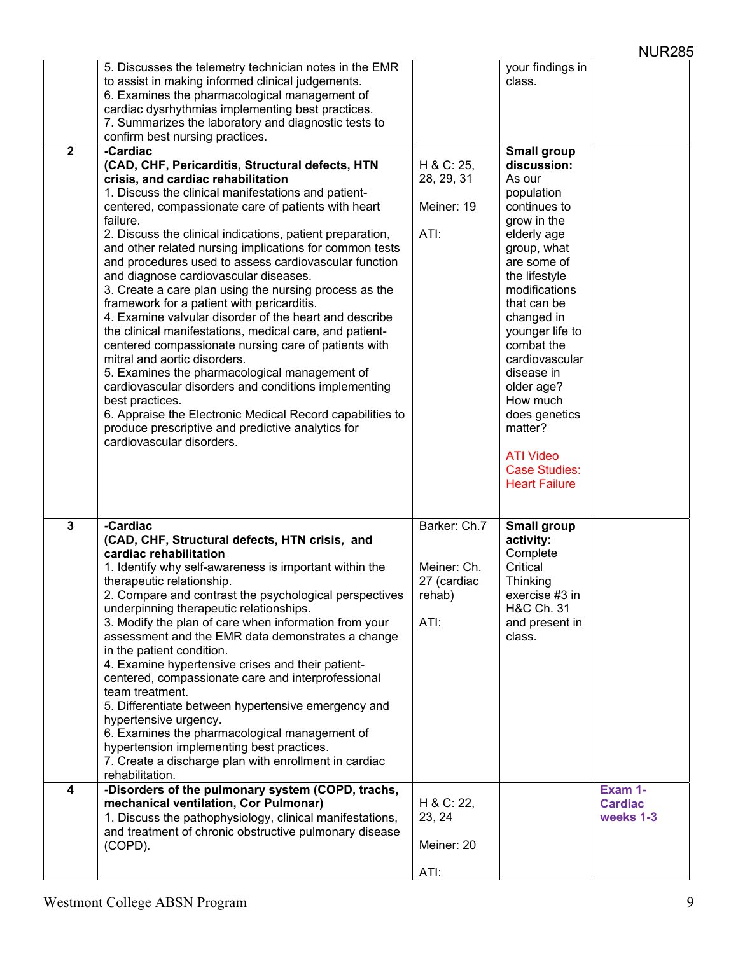|                | 5. Discusses the telemetry technician notes in the EMR                                                |              | your findings in         |                |
|----------------|-------------------------------------------------------------------------------------------------------|--------------|--------------------------|----------------|
|                | to assist in making informed clinical judgements.                                                     |              | class.                   |                |
|                | 6. Examines the pharmacological management of                                                         |              |                          |                |
|                | cardiac dysrhythmias implementing best practices.                                                     |              |                          |                |
|                | 7. Summarizes the laboratory and diagnostic tests to                                                  |              |                          |                |
| $\overline{2}$ | confirm best nursing practices.<br>-Cardiac                                                           |              | Small group              |                |
|                | (CAD, CHF, Pericarditis, Structural defects, HTN                                                      | H & C: 25,   | discussion:              |                |
|                | crisis, and cardiac rehabilitation                                                                    | 28, 29, 31   | As our                   |                |
|                | 1. Discuss the clinical manifestations and patient-                                                   |              | population               |                |
|                | centered, compassionate care of patients with heart                                                   | Meiner: 19   | continues to             |                |
|                | failure.                                                                                              |              | grow in the              |                |
|                | 2. Discuss the clinical indications, patient preparation,                                             | ATI:         | elderly age              |                |
|                | and other related nursing implications for common tests                                               |              | group, what              |                |
|                | and procedures used to assess cardiovascular function                                                 |              | are some of              |                |
|                | and diagnose cardiovascular diseases.                                                                 |              | the lifestyle            |                |
|                | 3. Create a care plan using the nursing process as the                                                |              | modifications            |                |
|                | framework for a patient with pericarditis.                                                            |              | that can be              |                |
|                | 4. Examine valvular disorder of the heart and describe                                                |              | changed in               |                |
|                | the clinical manifestations, medical care, and patient-                                               |              | younger life to          |                |
|                | centered compassionate nursing care of patients with                                                  |              | combat the               |                |
|                | mitral and aortic disorders.                                                                          |              | cardiovascular           |                |
|                | 5. Examines the pharmacological management of<br>cardiovascular disorders and conditions implementing |              | disease in<br>older age? |                |
|                | best practices.                                                                                       |              | How much                 |                |
|                | 6. Appraise the Electronic Medical Record capabilities to                                             |              | does genetics            |                |
|                | produce prescriptive and predictive analytics for                                                     |              | matter?                  |                |
|                | cardiovascular disorders.                                                                             |              |                          |                |
|                |                                                                                                       |              | <b>ATI Video</b>         |                |
|                |                                                                                                       |              | <b>Case Studies:</b>     |                |
|                |                                                                                                       |              | <b>Heart Failure</b>     |                |
|                |                                                                                                       |              |                          |                |
| $\mathbf{3}$   | -Cardiac                                                                                              | Barker: Ch.7 | Small group              |                |
|                | (CAD, CHF, Structural defects, HTN crisis, and                                                        |              | activity:                |                |
|                | cardiac rehabilitation                                                                                |              | Complete                 |                |
|                | 1. Identify why self-awareness is important within the                                                | Meiner: Ch.  | Critical                 |                |
|                | therapeutic relationship.                                                                             | 27 (cardiac  | Thinking                 |                |
|                | 2. Compare and contrast the psychological perspectives                                                | rehab)       | exercise #3 in           |                |
|                | underpinning therapeutic relationships.                                                               |              | H&C Ch. 31               |                |
|                | 3. Modify the plan of care when information from your                                                 | ATI:         | and present in           |                |
|                | assessment and the EMR data demonstrates a change                                                     |              | class.                   |                |
|                | in the patient condition.                                                                             |              |                          |                |
|                | 4. Examine hypertensive crises and their patient-                                                     |              |                          |                |
|                | centered, compassionate care and interprofessional<br>team treatment.                                 |              |                          |                |
|                | 5. Differentiate between hypertensive emergency and                                                   |              |                          |                |
|                | hypertensive urgency.                                                                                 |              |                          |                |
|                | 6. Examines the pharmacological management of                                                         |              |                          |                |
|                | hypertension implementing best practices.                                                             |              |                          |                |
|                | 7. Create a discharge plan with enrollment in cardiac                                                 |              |                          |                |
|                | rehabilitation.                                                                                       |              |                          |                |
| 4              | -Disorders of the pulmonary system (COPD, trachs,                                                     |              |                          | Exam 1-        |
|                | mechanical ventilation, Cor Pulmonar)                                                                 | H & C: 22,   |                          | <b>Cardiac</b> |
|                | 1. Discuss the pathophysiology, clinical manifestations,                                              | 23, 24       |                          | weeks 1-3      |
|                | and treatment of chronic obstructive pulmonary disease<br>(COPD).                                     | Meiner: 20   |                          |                |
|                |                                                                                                       |              |                          |                |
|                |                                                                                                       | ATI:         |                          |                |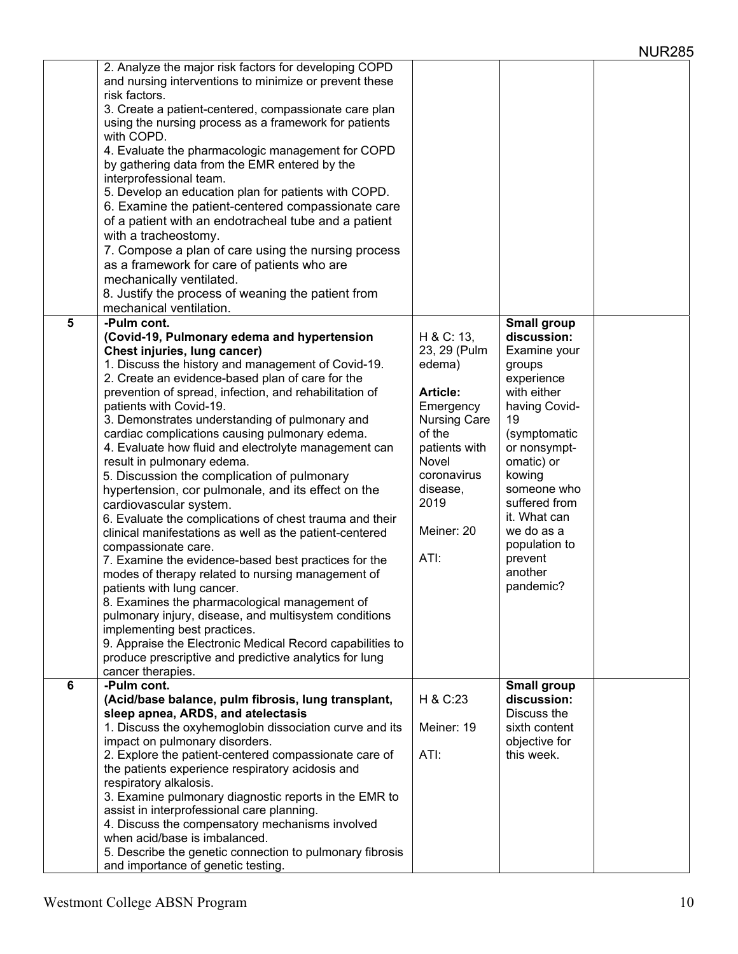|   | 2. Analyze the major risk factors for developing COPD<br>and nursing interventions to minimize or prevent these<br>risk factors.<br>3. Create a patient-centered, compassionate care plan<br>using the nursing process as a framework for patients<br>with COPD.<br>4. Evaluate the pharmacologic management for COPD<br>by gathering data from the EMR entered by the<br>interprofessional team.<br>5. Develop an education plan for patients with COPD.<br>6. Examine the patient-centered compassionate care<br>of a patient with an endotracheal tube and a patient<br>with a tracheostomy.<br>7. Compose a plan of care using the nursing process<br>as a framework for care of patients who are<br>mechanically ventilated.<br>8. Justify the process of weaning the patient from<br>mechanical ventilation.                                                                                                                                                                                                                                                                                                                                           |                                                                                                                                                                                                 |                                                                                                                                                                                                                                                                     |  |
|---|--------------------------------------------------------------------------------------------------------------------------------------------------------------------------------------------------------------------------------------------------------------------------------------------------------------------------------------------------------------------------------------------------------------------------------------------------------------------------------------------------------------------------------------------------------------------------------------------------------------------------------------------------------------------------------------------------------------------------------------------------------------------------------------------------------------------------------------------------------------------------------------------------------------------------------------------------------------------------------------------------------------------------------------------------------------------------------------------------------------------------------------------------------------|-------------------------------------------------------------------------------------------------------------------------------------------------------------------------------------------------|---------------------------------------------------------------------------------------------------------------------------------------------------------------------------------------------------------------------------------------------------------------------|--|
| 5 | -Pulm cont.                                                                                                                                                                                                                                                                                                                                                                                                                                                                                                                                                                                                                                                                                                                                                                                                                                                                                                                                                                                                                                                                                                                                                  |                                                                                                                                                                                                 | Small group                                                                                                                                                                                                                                                         |  |
|   | (Covid-19, Pulmonary edema and hypertension<br>Chest injuries, lung cancer)<br>1. Discuss the history and management of Covid-19.<br>2. Create an evidence-based plan of care for the<br>prevention of spread, infection, and rehabilitation of<br>patients with Covid-19.<br>3. Demonstrates understanding of pulmonary and<br>cardiac complications causing pulmonary edema.<br>4. Evaluate how fluid and electrolyte management can<br>result in pulmonary edema.<br>5. Discussion the complication of pulmonary<br>hypertension, cor pulmonale, and its effect on the<br>cardiovascular system.<br>6. Evaluate the complications of chest trauma and their<br>clinical manifestations as well as the patient-centered<br>compassionate care.<br>7. Examine the evidence-based best practices for the<br>modes of therapy related to nursing management of<br>patients with lung cancer.<br>8. Examines the pharmacological management of<br>pulmonary injury, disease, and multisystem conditions<br>implementing best practices.<br>9. Appraise the Electronic Medical Record capabilities to<br>produce prescriptive and predictive analytics for lung | H & C: 13,<br>23, 29 (Pulm<br>edema)<br><b>Article:</b><br>Emergency<br><b>Nursing Care</b><br>of the<br>patients with<br><b>Novel</b><br>coronavirus<br>disease,<br>2019<br>Meiner: 20<br>ATI: | discussion:<br>Examine your<br>groups<br>experience<br>with either<br>having Covid-<br>19<br>(symptomatic<br>or nonsympt-<br>omatic) or<br>kowing<br>someone who<br>suffered from<br>it. What can<br>we do as a<br>population to<br>prevent<br>another<br>pandemic? |  |
| 6 | cancer therapies.<br>-Pulm cont.                                                                                                                                                                                                                                                                                                                                                                                                                                                                                                                                                                                                                                                                                                                                                                                                                                                                                                                                                                                                                                                                                                                             |                                                                                                                                                                                                 | <b>Small group</b>                                                                                                                                                                                                                                                  |  |
|   | (Acid/base balance, pulm fibrosis, lung transplant,                                                                                                                                                                                                                                                                                                                                                                                                                                                                                                                                                                                                                                                                                                                                                                                                                                                                                                                                                                                                                                                                                                          | H & C:23                                                                                                                                                                                        | discussion:                                                                                                                                                                                                                                                         |  |
|   | sleep apnea, ARDS, and atelectasis<br>1. Discuss the oxyhemoglobin dissociation curve and its                                                                                                                                                                                                                                                                                                                                                                                                                                                                                                                                                                                                                                                                                                                                                                                                                                                                                                                                                                                                                                                                | Meiner: 19                                                                                                                                                                                      | Discuss the<br>sixth content                                                                                                                                                                                                                                        |  |
|   | impact on pulmonary disorders.                                                                                                                                                                                                                                                                                                                                                                                                                                                                                                                                                                                                                                                                                                                                                                                                                                                                                                                                                                                                                                                                                                                               |                                                                                                                                                                                                 | objective for                                                                                                                                                                                                                                                       |  |
|   | 2. Explore the patient-centered compassionate care of                                                                                                                                                                                                                                                                                                                                                                                                                                                                                                                                                                                                                                                                                                                                                                                                                                                                                                                                                                                                                                                                                                        | ATI:                                                                                                                                                                                            | this week.                                                                                                                                                                                                                                                          |  |
|   | the patients experience respiratory acidosis and                                                                                                                                                                                                                                                                                                                                                                                                                                                                                                                                                                                                                                                                                                                                                                                                                                                                                                                                                                                                                                                                                                             |                                                                                                                                                                                                 |                                                                                                                                                                                                                                                                     |  |
|   | respiratory alkalosis.<br>3. Examine pulmonary diagnostic reports in the EMR to                                                                                                                                                                                                                                                                                                                                                                                                                                                                                                                                                                                                                                                                                                                                                                                                                                                                                                                                                                                                                                                                              |                                                                                                                                                                                                 |                                                                                                                                                                                                                                                                     |  |
|   | assist in interprofessional care planning.                                                                                                                                                                                                                                                                                                                                                                                                                                                                                                                                                                                                                                                                                                                                                                                                                                                                                                                                                                                                                                                                                                                   |                                                                                                                                                                                                 |                                                                                                                                                                                                                                                                     |  |
|   | 4. Discuss the compensatory mechanisms involved                                                                                                                                                                                                                                                                                                                                                                                                                                                                                                                                                                                                                                                                                                                                                                                                                                                                                                                                                                                                                                                                                                              |                                                                                                                                                                                                 |                                                                                                                                                                                                                                                                     |  |
|   | when acid/base is imbalanced.                                                                                                                                                                                                                                                                                                                                                                                                                                                                                                                                                                                                                                                                                                                                                                                                                                                                                                                                                                                                                                                                                                                                |                                                                                                                                                                                                 |                                                                                                                                                                                                                                                                     |  |
|   | 5. Describe the genetic connection to pulmonary fibrosis<br>and importance of genetic testing.                                                                                                                                                                                                                                                                                                                                                                                                                                                                                                                                                                                                                                                                                                                                                                                                                                                                                                                                                                                                                                                               |                                                                                                                                                                                                 |                                                                                                                                                                                                                                                                     |  |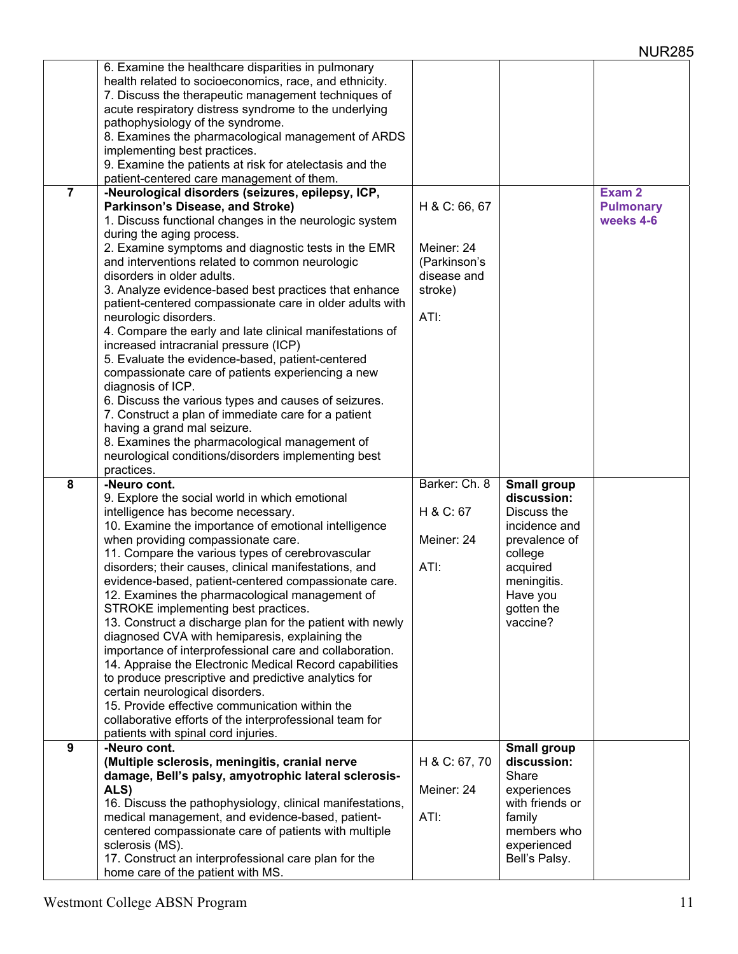|                | 6. Examine the healthcare disparities in pulmonary        |               |                 |                   |
|----------------|-----------------------------------------------------------|---------------|-----------------|-------------------|
|                | health related to socioeconomics, race, and ethnicity.    |               |                 |                   |
|                | 7. Discuss the therapeutic management techniques of       |               |                 |                   |
|                | acute respiratory distress syndrome to the underlying     |               |                 |                   |
|                | pathophysiology of the syndrome.                          |               |                 |                   |
|                | 8. Examines the pharmacological management of ARDS        |               |                 |                   |
|                | implementing best practices.                              |               |                 |                   |
|                | 9. Examine the patients at risk for atelectasis and the   |               |                 |                   |
|                | patient-centered care management of them.                 |               |                 |                   |
| $\overline{7}$ | -Neurological disorders (seizures, epilepsy, ICP,         |               |                 | Exam <sub>2</sub> |
|                | Parkinson's Disease, and Stroke)                          | H & C: 66, 67 |                 | <b>Pulmonary</b>  |
|                | 1. Discuss functional changes in the neurologic system    |               |                 | weeks 4-6         |
|                | during the aging process.                                 |               |                 |                   |
|                |                                                           | Meiner: 24    |                 |                   |
|                | 2. Examine symptoms and diagnostic tests in the EMR       |               |                 |                   |
|                | and interventions related to common neurologic            | (Parkinson's  |                 |                   |
|                | disorders in older adults.                                | disease and   |                 |                   |
|                | 3. Analyze evidence-based best practices that enhance     | stroke)       |                 |                   |
|                | patient-centered compassionate care in older adults with  |               |                 |                   |
|                | neurologic disorders.                                     | ATI:          |                 |                   |
|                | 4. Compare the early and late clinical manifestations of  |               |                 |                   |
|                | increased intracranial pressure (ICP)                     |               |                 |                   |
|                | 5. Evaluate the evidence-based, patient-centered          |               |                 |                   |
|                | compassionate care of patients experiencing a new         |               |                 |                   |
|                | diagnosis of ICP.                                         |               |                 |                   |
|                | 6. Discuss the various types and causes of seizures.      |               |                 |                   |
|                | 7. Construct a plan of immediate care for a patient       |               |                 |                   |
|                | having a grand mal seizure.                               |               |                 |                   |
|                | 8. Examines the pharmacological management of             |               |                 |                   |
|                | neurological conditions/disorders implementing best       |               |                 |                   |
|                | practices.                                                |               |                 |                   |
|                |                                                           |               |                 |                   |
| 8              | -Neuro cont.                                              | Barker: Ch. 8 | Small group     |                   |
|                | 9. Explore the social world in which emotional            |               | discussion:     |                   |
|                | intelligence has become necessary.                        | H & C: 67     | Discuss the     |                   |
|                | 10. Examine the importance of emotional intelligence      |               | incidence and   |                   |
|                | when providing compassionate care.                        | Meiner: 24    | prevalence of   |                   |
|                | 11. Compare the various types of cerebrovascular          |               | college         |                   |
|                | disorders; their causes, clinical manifestations, and     | ATI:          | acquired        |                   |
|                | evidence-based, patient-centered compassionate care.      |               | meningitis.     |                   |
|                | 12. Examines the pharmacological management of            |               | Have you        |                   |
|                | STROKE implementing best practices.                       |               | gotten the      |                   |
|                | 13. Construct a discharge plan for the patient with newly |               | vaccine?        |                   |
|                | diagnosed CVA with hemiparesis, explaining the            |               |                 |                   |
|                | importance of interprofessional care and collaboration.   |               |                 |                   |
|                | 14. Appraise the Electronic Medical Record capabilities   |               |                 |                   |
|                | to produce prescriptive and predictive analytics for      |               |                 |                   |
|                | certain neurological disorders.                           |               |                 |                   |
|                | 15. Provide effective communication within the            |               |                 |                   |
|                | collaborative efforts of the interprofessional team for   |               |                 |                   |
|                | patients with spinal cord injuries.                       |               |                 |                   |
| 9              | -Neuro cont.                                              |               | Small group     |                   |
|                | (Multiple sclerosis, meningitis, cranial nerve            | H & C: 67, 70 | discussion:     |                   |
|                | damage, Bell's palsy, amyotrophic lateral sclerosis-      |               | Share           |                   |
|                | ALS)                                                      | Meiner: 24    | experiences     |                   |
|                | 16. Discuss the pathophysiology, clinical manifestations, |               | with friends or |                   |
|                | medical management, and evidence-based, patient-          | ATI:          | family          |                   |
|                | centered compassionate care of patients with multiple     |               | members who     |                   |
|                | sclerosis (MS).                                           |               | experienced     |                   |
|                | 17. Construct an interprofessional care plan for the      |               | Bell's Palsy.   |                   |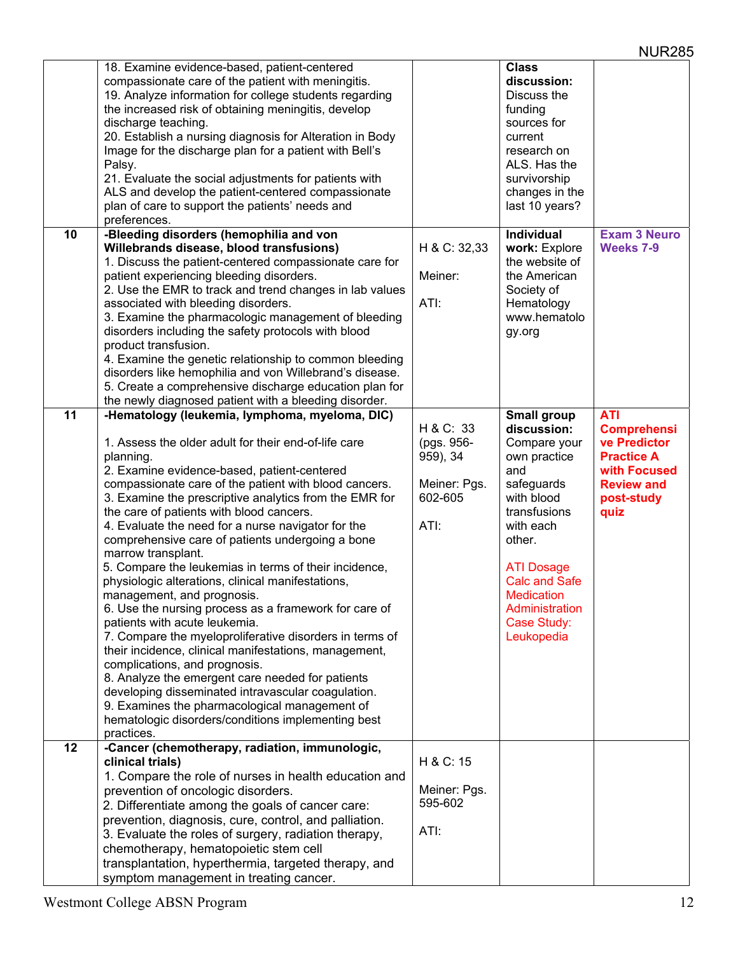|                 | 18. Examine evidence-based, patient-centered<br>compassionate care of the patient with meningitis.<br>19. Analyze information for college students regarding<br>the increased risk of obtaining meningitis, develop<br>discharge teaching.<br>20. Establish a nursing diagnosis for Alteration in Body<br>Image for the discharge plan for a patient with Bell's<br>Palsy.<br>21. Evaluate the social adjustments for patients with<br>ALS and develop the patient-centered compassionate<br>plan of care to support the patients' needs and<br>preferences.                                                                                                                                                                                                                                                                                                                                                                                                                                                                                                                                |                                                                        | <b>Class</b><br>discussion:<br>Discuss the<br>funding<br>sources for<br>current<br>research on<br>ALS. Has the<br>survivorship<br>changes in the<br>last 10 years?                                                                                           |                                                                                                                                  |
|-----------------|---------------------------------------------------------------------------------------------------------------------------------------------------------------------------------------------------------------------------------------------------------------------------------------------------------------------------------------------------------------------------------------------------------------------------------------------------------------------------------------------------------------------------------------------------------------------------------------------------------------------------------------------------------------------------------------------------------------------------------------------------------------------------------------------------------------------------------------------------------------------------------------------------------------------------------------------------------------------------------------------------------------------------------------------------------------------------------------------|------------------------------------------------------------------------|--------------------------------------------------------------------------------------------------------------------------------------------------------------------------------------------------------------------------------------------------------------|----------------------------------------------------------------------------------------------------------------------------------|
| 10              | -Bleeding disorders (hemophilia and von<br>Willebrands disease, blood transfusions)<br>1. Discuss the patient-centered compassionate care for<br>patient experiencing bleeding disorders.<br>2. Use the EMR to track and trend changes in lab values<br>associated with bleeding disorders.<br>3. Examine the pharmacologic management of bleeding<br>disorders including the safety protocols with blood<br>product transfusion.<br>4. Examine the genetic relationship to common bleeding<br>disorders like hemophilia and von Willebrand's disease.<br>5. Create a comprehensive discharge education plan for<br>the newly diagnosed patient with a bleeding disorder.                                                                                                                                                                                                                                                                                                                                                                                                                   | H & C: 32,33<br>Meiner:<br>ATI:                                        | Individual<br>work: Explore<br>the website of<br>the American<br>Society of<br>Hematology<br>www.hematolo<br>gy.org                                                                                                                                          | <b>Exam 3 Neuro</b><br>Weeks 7-9                                                                                                 |
| $\overline{11}$ | -Hematology (leukemia, lymphoma, myeloma, DIC)<br>1. Assess the older adult for their end-of-life care<br>planning.<br>2. Examine evidence-based, patient-centered<br>compassionate care of the patient with blood cancers.<br>3. Examine the prescriptive analytics from the EMR for<br>the care of patients with blood cancers.<br>4. Evaluate the need for a nurse navigator for the<br>comprehensive care of patients undergoing a bone<br>marrow transplant.<br>5. Compare the leukemias in terms of their incidence,<br>physiologic alterations, clinical manifestations,<br>management, and prognosis.<br>6. Use the nursing process as a framework for care of<br>patients with acute leukemia.<br>7. Compare the myeloproliferative disorders in terms of<br>their incidence, clinical manifestations, management,<br>complications, and prognosis.<br>8. Analyze the emergent care needed for patients<br>developing disseminated intravascular coagulation.<br>9. Examines the pharmacological management of<br>hematologic disorders/conditions implementing best<br>practices. | H & C: 33<br>(pgs. 956-<br>959), 34<br>Meiner: Pgs.<br>602-605<br>ATI: | Small group<br>discussion:<br>Compare your<br>own practice<br>and<br>safeguards<br>with blood<br>transfusions<br>with each<br>other.<br><b>ATI Dosage</b><br><b>Calc and Safe</b><br><b>Medication</b><br>Administration<br><b>Case Study:</b><br>Leukopedia | <b>ATI</b><br><b>Comprehensi</b><br>ve Predictor<br><b>Practice A</b><br>with Focused<br><b>Review and</b><br>post-study<br>quiz |
| 12              | -Cancer (chemotherapy, radiation, immunologic,<br>clinical trials)<br>1. Compare the role of nurses in health education and<br>prevention of oncologic disorders.<br>2. Differentiate among the goals of cancer care:<br>prevention, diagnosis, cure, control, and palliation.<br>3. Evaluate the roles of surgery, radiation therapy,<br>chemotherapy, hematopoietic stem cell<br>transplantation, hyperthermia, targeted therapy, and<br>symptom management in treating cancer.                                                                                                                                                                                                                                                                                                                                                                                                                                                                                                                                                                                                           | H & C: 15<br>Meiner: Pgs.<br>595-602<br>ATI:                           |                                                                                                                                                                                                                                                              |                                                                                                                                  |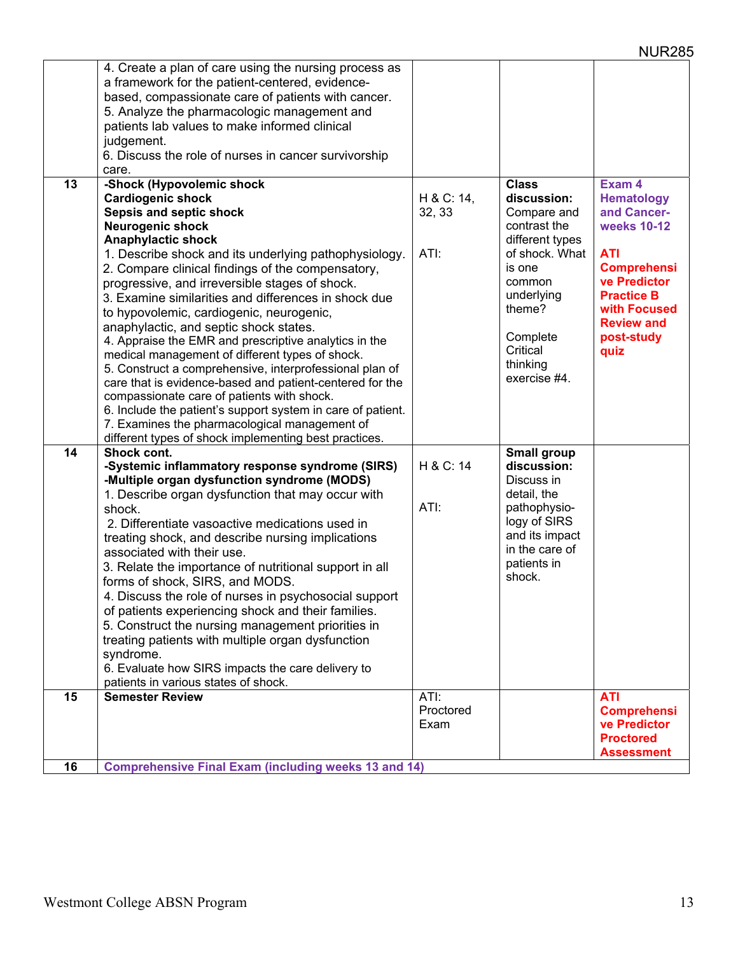|    | 4. Create a plan of care using the nursing process as                                                     |            |                    |                    |
|----|-----------------------------------------------------------------------------------------------------------|------------|--------------------|--------------------|
|    | a framework for the patient-centered, evidence-                                                           |            |                    |                    |
|    | based, compassionate care of patients with cancer.                                                        |            |                    |                    |
|    | 5. Analyze the pharmacologic management and                                                               |            |                    |                    |
|    | patients lab values to make informed clinical                                                             |            |                    |                    |
|    | judgement.                                                                                                |            |                    |                    |
|    | 6. Discuss the role of nurses in cancer survivorship                                                      |            |                    |                    |
|    | care.                                                                                                     |            |                    |                    |
| 13 | -Shock (Hypovolemic shock                                                                                 |            | <b>Class</b>       | Exam 4             |
|    | <b>Cardiogenic shock</b>                                                                                  | H & C: 14, | discussion:        | <b>Hematology</b>  |
|    | Sepsis and septic shock                                                                                   | 32, 33     | Compare and        | and Cancer-        |
|    | <b>Neurogenic shock</b>                                                                                   |            | contrast the       | weeks 10-12        |
|    | <b>Anaphylactic shock</b>                                                                                 |            | different types    |                    |
|    | 1. Describe shock and its underlying pathophysiology.                                                     | ATI:       | of shock. What     | <b>ATI</b>         |
|    | 2. Compare clinical findings of the compensatory,                                                         |            | is one             | <b>Comprehensi</b> |
|    | progressive, and irreversible stages of shock.                                                            |            | common             | ve Predictor       |
|    | 3. Examine similarities and differences in shock due                                                      |            | underlying         | <b>Practice B</b>  |
|    | to hypovolemic, cardiogenic, neurogenic,                                                                  |            | theme?             | with Focused       |
|    |                                                                                                           |            |                    | <b>Review and</b>  |
|    | anaphylactic, and septic shock states.                                                                    |            | Complete           | post-study         |
|    | 4. Appraise the EMR and prescriptive analytics in the                                                     |            | Critical           | quiz               |
|    | medical management of different types of shock.                                                           |            | thinking           |                    |
|    | 5. Construct a comprehensive, interprofessional plan of                                                   |            | exercise #4.       |                    |
|    | care that is evidence-based and patient-centered for the                                                  |            |                    |                    |
|    | compassionate care of patients with shock.<br>6. Include the patient's support system in care of patient. |            |                    |                    |
|    |                                                                                                           |            |                    |                    |
|    | 7. Examines the pharmacological management of<br>different types of shock implementing best practices.    |            |                    |                    |
| 14 | Shock cont.                                                                                               |            | <b>Small group</b> |                    |
|    | -Systemic inflammatory response syndrome (SIRS)                                                           | H & C: 14  | discussion:        |                    |
|    | -Multiple organ dysfunction syndrome (MODS)                                                               |            | Discuss in         |                    |
|    | 1. Describe organ dysfunction that may occur with                                                         |            | detail, the        |                    |
|    | shock.                                                                                                    | ATI:       | pathophysio-       |                    |
|    | 2. Differentiate vasoactive medications used in                                                           |            | logy of SIRS       |                    |
|    |                                                                                                           |            | and its impact     |                    |
|    | treating shock, and describe nursing implications                                                         |            | in the care of     |                    |
|    | associated with their use.                                                                                |            | patients in        |                    |
|    | 3. Relate the importance of nutritional support in all                                                    |            | shock.             |                    |
|    | forms of shock, SIRS, and MODS.                                                                           |            |                    |                    |
|    | 4. Discuss the role of nurses in psychosocial support                                                     |            |                    |                    |
|    | of patients experiencing shock and their families.                                                        |            |                    |                    |
|    | 5. Construct the nursing management priorities in                                                         |            |                    |                    |
|    | treating patients with multiple organ dysfunction                                                         |            |                    |                    |
|    | syndrome.                                                                                                 |            |                    |                    |
|    | 6. Evaluate how SIRS impacts the care delivery to                                                         |            |                    |                    |
|    | patients in various states of shock.                                                                      |            |                    |                    |
| 15 | <b>Semester Review</b>                                                                                    | ATI:       |                    | <b>ATI</b>         |
|    |                                                                                                           | Proctored  |                    | <b>Comprehensi</b> |
|    |                                                                                                           | Exam       |                    | ve Predictor       |
|    |                                                                                                           |            |                    | <b>Proctored</b>   |
| 16 |                                                                                                           |            |                    | <b>Assessment</b>  |
|    | <b>Comprehensive Final Exam (including weeks 13 and 14)</b>                                               |            |                    |                    |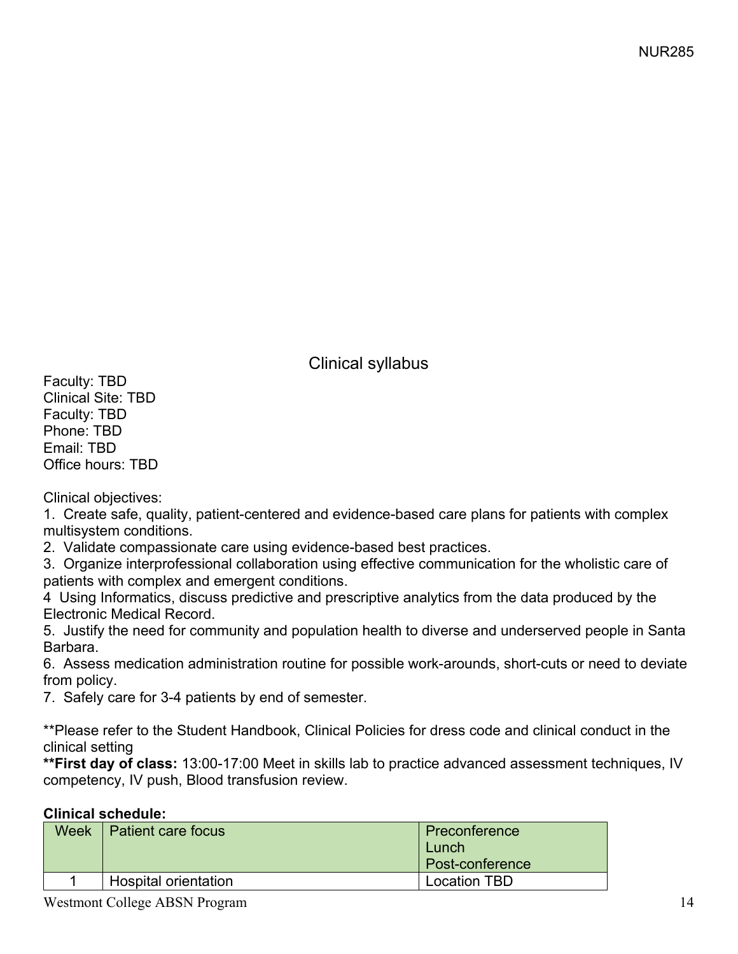Clinical syllabus

Faculty: TBD Clinical Site: TBD Faculty: TBD Phone: TBD Email: TBD Office hours: TBD

Clinical objectives:

1. Create safe, quality, patient-centered and evidence-based care plans for patients with complex multisystem conditions.

2. Validate compassionate care using evidence-based best practices.

3. Organize interprofessional collaboration using effective communication for the wholistic care of patients with complex and emergent conditions.

4 Using Informatics, discuss predictive and prescriptive analytics from the data produced by the Electronic Medical Record.

5. Justify the need for community and population health to diverse and underserved people in Santa Barbara.

6. Assess medication administration routine for possible work-arounds, short-cuts or need to deviate from policy.

7. Safely care for 3-4 patients by end of semester.

\*\*Please refer to the Student Handbook, Clinical Policies for dress code and clinical conduct in the clinical setting

**\*\*First day of class:** 13:00-17:00 Meet in skills lab to practice advanced assessment techniques, IV competency, IV push, Blood transfusion review.

**Clinical schedule:** 

| Preconference       |  |  |  |  |
|---------------------|--|--|--|--|
| Lunch               |  |  |  |  |
| Post-conference     |  |  |  |  |
| <b>Location TBD</b> |  |  |  |  |
|                     |  |  |  |  |

Westmont College ABSN Program 14